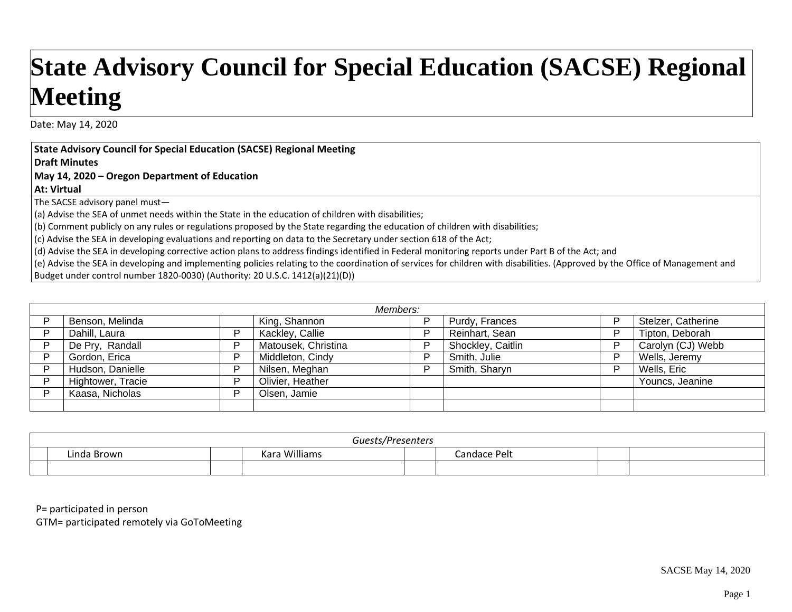## **State Advisory Council for Special Education (SACSE) Regional Meeting**

Date: May 14, 2020

**State Advisory Council for Special Education (SACSE) Regional Meeting**

**Draft Minutes**

**May 14, 2020 – Oregon Department of Education**

**At: Virtual**

The SACSE advisory panel must—

(a) Advise the SEA of unmet needs within the State in the education of children with disabilities;

(b) Comment publicly on any rules or regulations proposed by the State regarding the education of children with disabilities;

(c) Advise the SEA in developing evaluations and reporting on data to the Secretary under section 618 of the Act;

(d) Advise the SEA in developing corrective action plans to address findings identified in Federal monitoring reports under Part B of the Act; and

(e) Advise the SEA in developing and implementing policies relating to the coordination of services for children with disabilities. (Approved by the Office of Management and Budget under control number 1820‐0030) (Authority: 20 U.S.C. 1412(a)(21)(D))

| Members: |                   |   |                     |   |                   |   |                    |
|----------|-------------------|---|---------------------|---|-------------------|---|--------------------|
|          | Benson, Melinda   |   | King, Shannon       | D | Purdy, Frances    |   | Stelzer, Catherine |
|          | Dahill, Laura     | D | Kackley, Callie     | D | Reinhart, Sean    | D | Tipton, Deborah    |
|          | De Pry, Randall   |   | Matousek, Christina | D | Shockley, Caitlin | D | Carolyn (CJ) Webb  |
|          | Gordon, Erica     | D | Middleton, Cindy    | D | Smith, Julie      | D | Wells, Jeremy      |
|          | Hudson, Danielle  |   | Nilsen, Meghan      |   | Smith, Sharyn     | D | Wells, Eric        |
|          | Hightower, Tracie | D | Olivier, Heather    |   |                   |   | Youncs, Jeanine    |
|          | Kaasa, Nicholas   | D | Olsen, Jamie        |   |                   |   |                    |
|          |                   |   |                     |   |                   |   |                    |

| Guests/Presenters |                     |  |              |  |  |
|-------------------|---------------------|--|--------------|--|--|
| Linda Brown       | Vara Williame<br>אי |  | Candace Pelt |  |  |
|                   |                     |  |              |  |  |

P= participated in person

GTM= participated remotely via GoToMeeting

SACSE May 14, 2020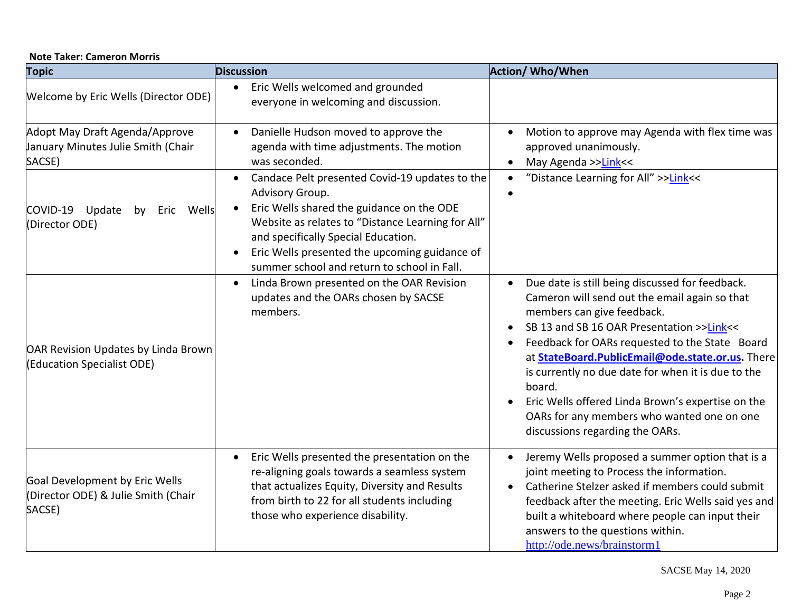|  | <b>Note Taker: Cameron Morris</b> |
|--|-----------------------------------|
|--|-----------------------------------|

| <b>Topic</b>                                                                    | <b>Discussion</b>                                                                                                                                                                                                                                                                                                       | <b>Action/ Who/When</b>                                                                                                                                                                                                                                                                                                                                                                                                                                                                                           |
|---------------------------------------------------------------------------------|-------------------------------------------------------------------------------------------------------------------------------------------------------------------------------------------------------------------------------------------------------------------------------------------------------------------------|-------------------------------------------------------------------------------------------------------------------------------------------------------------------------------------------------------------------------------------------------------------------------------------------------------------------------------------------------------------------------------------------------------------------------------------------------------------------------------------------------------------------|
| Welcome by Eric Wells (Director ODE)                                            | Eric Wells welcomed and grounded<br>$\bullet$<br>everyone in welcoming and discussion.                                                                                                                                                                                                                                  |                                                                                                                                                                                                                                                                                                                                                                                                                                                                                                                   |
| Adopt May Draft Agenda/Approve<br>January Minutes Julie Smith (Chair<br>SACSE)  | Danielle Hudson moved to approve the<br>agenda with time adjustments. The motion<br>was seconded.                                                                                                                                                                                                                       | Motion to approve may Agenda with flex time was<br>$\bullet$<br>approved unanimously.<br>May Agenda >>Link<<<br>$\bullet$                                                                                                                                                                                                                                                                                                                                                                                         |
| COVID-19 Update<br>Wells<br>by<br>Eric<br>(Director ODE)                        | Candace Pelt presented Covid-19 updates to the<br>$\bullet$<br>Advisory Group.<br>Eric Wells shared the guidance on the ODE<br>Website as relates to "Distance Learning for All"<br>and specifically Special Education.<br>Eric Wells presented the upcoming guidance of<br>summer school and return to school in Fall. | "Distance Learning for All" >>Link<<<br>$\bullet$                                                                                                                                                                                                                                                                                                                                                                                                                                                                 |
| OAR Revision Updates by Linda Brown<br>(Education Specialist ODE)               | Linda Brown presented on the OAR Revision<br>$\bullet$<br>updates and the OARs chosen by SACSE<br>members.                                                                                                                                                                                                              | Due date is still being discussed for feedback.<br>$\bullet$<br>Cameron will send out the email again so that<br>members can give feedback.<br>SB 13 and SB 16 OAR Presentation >>Link<<<br>$\bullet$<br>Feedback for OARs requested to the State Board<br>at StateBoard.PublicEmail@ode.state.or.us. There<br>is currently no due date for when it is due to the<br>board.<br>Eric Wells offered Linda Brown's expertise on the<br>OARs for any members who wanted one on one<br>discussions regarding the OARs. |
| Goal Development by Eric Wells<br>(Director ODE) & Julie Smith (Chair<br>SACSE) | Eric Wells presented the presentation on the<br>$\bullet$<br>re-aligning goals towards a seamless system<br>that actualizes Equity, Diversity and Results<br>from birth to 22 for all students including<br>those who experience disability.                                                                            | Jeremy Wells proposed a summer option that is a<br>$\bullet$<br>joint meeting to Process the information.<br>Catherine Stelzer asked if members could submit<br>$\bullet$<br>feedback after the meeting. Eric Wells said yes and<br>built a whiteboard where people can input their<br>answers to the questions within.<br>http://ode.news/brainstorm1                                                                                                                                                            |

SACSE May 14, 2020